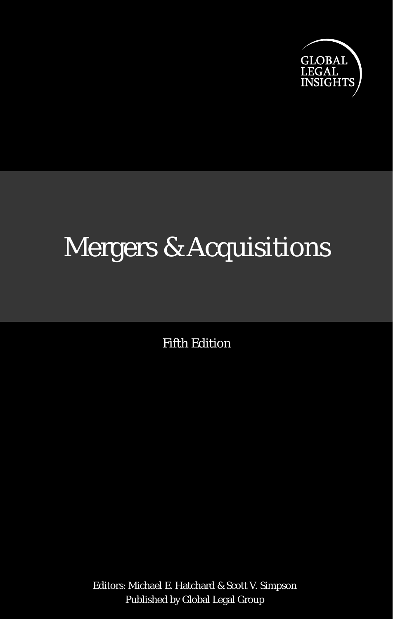

# Mergers & Acquisitions

Fifth Edition

Editors: Michael E. Hatchard & Scott V. Simpson Published by Global Legal Group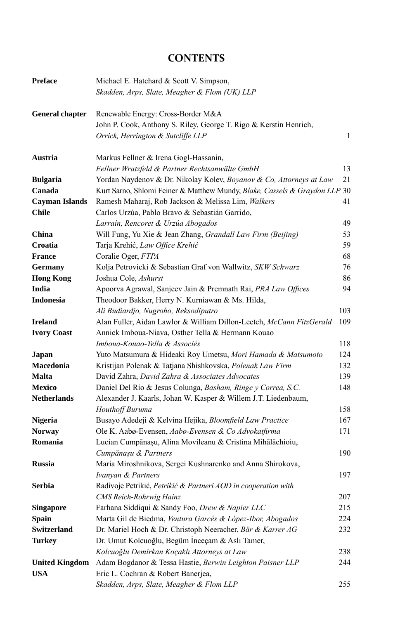# **CONTENTS**

| <b>Preface</b>         | Michael E. Hatchard & Scott V. Simpson,                                    |     |
|------------------------|----------------------------------------------------------------------------|-----|
|                        | Skadden, Arps, Slate, Meagher & Flom (UK) LLP                              |     |
| <b>General chapter</b> | Renewable Energy: Cross-Border M&A                                         |     |
|                        | John P. Cook, Anthony S. Riley, George T. Rigo & Kerstin Henrich,          |     |
|                        | Orrick, Herrington & Sutcliffe LLP                                         | 1   |
| Austria                | Markus Fellner & Irena Gogl-Hassanin,                                      |     |
|                        | Fellner Wratzfeld & Partner Rechtsanwälte GmbH                             | 13  |
| <b>Bulgaria</b>        | Yordan Naydenov & Dr. Nikolay Kolev, Boyanov & Co, Attorneys at Law        | 21  |
| Canada                 | Kurt Sarno, Shlomi Feiner & Matthew Mundy, Blake, Cassels & Graydon LLP 30 |     |
| <b>Cayman Islands</b>  | Ramesh Maharaj, Rob Jackson & Melissa Lim, Walkers                         | 41  |
| Chile                  | Carlos Urzúa, Pablo Bravo & Sebastián Garrido,                             |     |
|                        | Larraín, Rencoret & Urzúa Abogados                                         | 49  |
| China                  | Will Fung, Yu Xie & Jean Zhang, Grandall Law Firm (Beijing)                | 53  |
| Croatia                | Tarja Krehić, Law Office Krehić                                            | 59  |
| <b>France</b>          | Coralie Oger, FTPA                                                         | 68  |
| Germany                | Kolja Petrovicki & Sebastian Graf von Wallwitz, SKW Schwarz                | 76  |
| <b>Hong Kong</b>       | Joshua Cole, Ashurst                                                       | 86  |
| India                  | Apoorva Agrawal, Sanjeev Jain & Premnath Rai, PRA Law Offices              | 94  |
| <b>Indonesia</b>       | Theodoor Bakker, Herry N. Kurniawan & Ms. Hilda,                           |     |
|                        | Ali Budiardjo, Nugroho, Reksodiputro                                       | 103 |
| <b>Ireland</b>         | Alan Fuller, Aidan Lawlor & William Dillon-Leetch, McCann FitzGerald       | 109 |
| <b>Ivory Coast</b>     | Annick Imboua-Niava, Osther Tella & Hermann Kouao                          |     |
|                        | Imboua-Kouao-Tella & Associés                                              | 118 |
| Japan                  | Yuto Matsumura & Hideaki Roy Umetsu, Mori Hamada & Matsumoto               | 124 |
| Macedonia              | Kristijan Polenak & Tatjana Shishkovska, Polenak Law Firm                  | 132 |
| <b>Malta</b>           | David Zahra, David Zahra & Associates Advocates                            | 139 |
| <b>Mexico</b>          | Daniel Del Río & Jesus Colunga, Basham, Ringe y Correa, S.C.               | 148 |
| <b>Netherlands</b>     | Alexander J. Kaarls, Johan W. Kasper & Willem J.T. Liedenbaum,             |     |
|                        | Houthoff Buruma                                                            | 158 |
| <b>Nigeria</b>         | Busayo Adedeji & Kelvina Ifejika, Bloomfield Law Practice                  | 167 |
| <b>Norway</b>          | Ole K. Aabø-Evensen, Aabø-Evensen & Co Advokatfirma                        | 171 |
| Romania                | Lucian Cumpănașu, Alina Movileanu & Cristina Mihălăchioiu,                 |     |
|                        | Cumpănașu & Partners                                                       | 190 |
| <b>Russia</b>          | Maria Miroshnikova, Sergei Kushnarenko and Anna Shirokova,                 |     |
|                        | Ivanyan & Partners                                                         | 197 |
| <b>Serbia</b>          | Radivoje Petrikić, Petrikić & Partneri AOD in cooperation with             |     |
|                        | CMS Reich-Rohrwig Hainz                                                    | 207 |
| <b>Singapore</b>       | Farhana Siddiqui & Sandy Foo, Drew & Napier LLC                            | 215 |
| <b>Spain</b>           | Marta Gil de Biedma, Ventura Garcés & López-Ibor, Abogados                 | 224 |
| <b>Switzerland</b>     | Dr. Mariel Hoch & Dr. Christoph Neeracher, Bär & Karrer AG                 | 232 |
| <b>Turkey</b>          | Dr. Umut Kolcuoğlu, Begüm İnceçam & Aslı Tamer,                            |     |
|                        | Kolcuoğlu Demirkan Koçaklı Attorneys at Law                                | 238 |
| <b>United Kingdom</b>  | Adam Bogdanor & Tessa Hastie, Berwin Leighton Paisner LLP                  | 244 |
| <b>USA</b>             | Eric L. Cochran & Robert Banerjea,                                         |     |
|                        | Skadden, Arps, Slate, Meagher & Flom LLP                                   | 255 |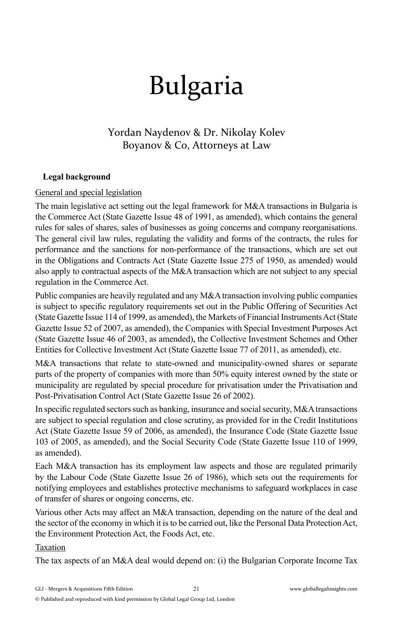# Bulgaria

# Yordan Naydenov & Dr. Nikolay Kolev Boyanov & Co, Attorneys at Law

### **Legal background**

### General and special legislation

The main legislative act setting out the legal framework for M&A transactions in Bulgaria is the Commerce Act (State Gazette Issue 48 of 1991, as amended), which contains the general rules for sales of shares, sales of businesses as going concerns and company reorganisations. The general civil law rules, regulating the validity and forms of the contracts, the rules for performance and the sanctions for non-performance of the transactions, which are set out in the Obligations and Contracts Act (State Gazette Issue 275 of 1950, as amended) would also apply to contractual aspects of the M&A transaction which are not subject to any special regulation in the Commerce Act.

Public companies are heavily regulated and any M&A transaction involving public companies is subject to specific regulatory requirements set out in the Public Offering of Securities Act (State Gazette Issue 114 of 1999, as amended), the Markets of Financial Instruments Act (State Gazette Issue 52 of 2007, as amended), the Companies with Special Investment Purposes Act (State Gazette Issue 46 of 2003, as amended), the Collective Investment Schemes and Other Entities for Collective Investment Act (State Gazette Issue 77 of 2011, as amended), etc.

M&A transactions that relate to state-owned and municipality-owned shares or separate parts of the property of companies with more than 50% equity interest owned by the state or municipality are regulated by special procedure for privatisation under the Privatisation and Post-Privatisation Control Act (State Gazette Issue 26 of 2002).

In specific regulated sectors such as banking, insurance and social security,  $M&A$  transactions are subject to special regulation and close scrutiny, as provided for in the Credit Institutions Act (State Gazette Issue 59 of 2006, as amended), the Insurance Code (State Gazette Issue 103 of 2005, as amended), and the Social Security Code (State Gazette Issue 110 of 1999, as amended).

Each M&A transaction has its employment law aspects and those are regulated primarily by the Labour Code (State Gazette Issue 26 of 1986), which sets out the requirements for notifying employees and establishes protective mechanisms to safeguard workplaces in case of transfer of shares or ongoing concerns, etc.

Various other Acts may affect an M&A transaction, depending on the nature of the deal and the sector of the economy in which it is to be carried out, like the Personal Data Protection Act, the Environment Protection Act, the Foods Act, etc.

### Taxation

The tax aspects of an M&A deal would depend on: (i) the Bulgarian Corporate Income Tax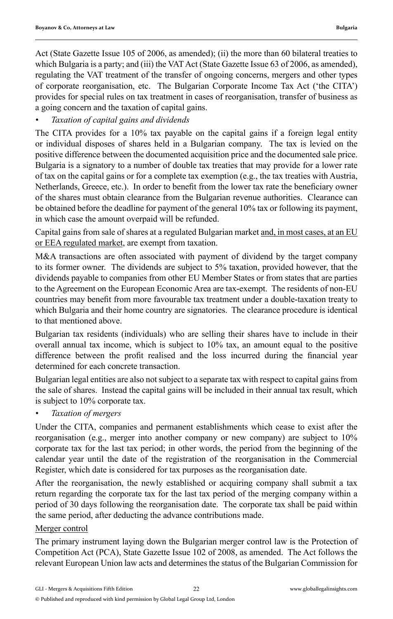Act (State Gazette Issue 105 of 2006, as amended); (ii) the more than 60 bilateral treaties to which Bulgaria is a party; and (iii) the VAT Act (State Gazette Issue 63 of 2006, as amended), regulating the VAT treatment of the transfer of ongoing concerns, mergers and other types of corporate reorganisation, etc. The Bulgarian Corporate Income Tax Act ('the CITA') provides for special rules on tax treatment in cases of reorganisation, transfer of business as a going concern and the taxation of capital gains.

## *• Taxation of capital gains and dividends*

The CITA provides for a 10% tax payable on the capital gains if a foreign legal entity or individual disposes of shares held in a Bulgarian company. The tax is levied on the positive difference between the documented acquisition price and the documented sale price. Bulgaria is a signatory to a number of double tax treaties that may provide for a lower rate of tax on the capital gains or for a complete tax exemption (e.g., the tax treaties with Austria, Netherlands, Greece, etc.). In order to benefit from the lower tax rate the beneficiary owner of the shares must obtain clearance from the Bulgarian revenue authorities. Clearance can be obtained before the deadline for payment of the general 10% tax or following its payment, in which case the amount overpaid will be refunded.

Capital gains from sale of shares at a regulated Bulgarian market and, in most cases, at an EU or EEA regulated market, are exempt from taxation.

M&A transactions are often associated with payment of dividend by the target company to its former owner. The dividends are subject to 5% taxation, provided however, that the dividends payable to companies from other EU Member States or from states that are parties to the Agreement on the European Economic Area are tax-exempt. The residents of non-EU countries may benefit from more favourable tax treatment under a double-taxation treaty to which Bulgaria and their home country are signatories. The clearance procedure is identical to that mentioned above.

Bulgarian tax residents (individuals) who are selling their shares have to include in their overall annual tax income, which is subject to 10% tax, an amount equal to the positive difference between the profit realised and the loss incurred during the financial year determined for each concrete transaction.

Bulgarian legal entities are also not subject to a separate tax with respect to capital gains from the sale of shares. Instead the capital gains will be included in their annual tax result, which is subject to 10% corporate tax.

*• Taxation of mergers*

Under the CITA, companies and permanent establishments which cease to exist after the reorganisation (e.g., merger into another company or new company) are subject to 10% corporate tax for the last tax period; in other words, the period from the beginning of the calendar year until the date of the registration of the reorganisation in the Commercial Register, which date is considered for tax purposes as the reorganisation date.

After the reorganisation, the newly established or acquiring company shall submit a tax return regarding the corporate tax for the last tax period of the merging company within a period of 30 days following the reorganisation date. The corporate tax shall be paid within the same period, after deducting the advance contributions made.

### Merger control

The primary instrument laying down the Bulgarian merger control law is the Protection of Competition Act (PCA), State Gazette Issue 102 of 2008, as amended. The Act follows the relevant European Union law acts and determines the status of the Bulgarian Commission for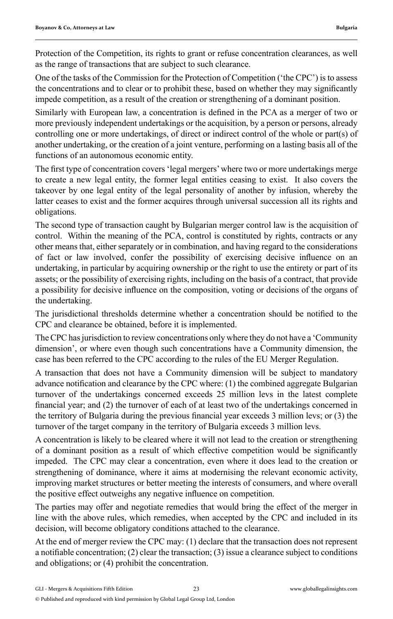Protection of the Competition, its rights to grant or refuse concentration clearances, as well as the range of transactions that are subject to such clearance.

One of the tasks of the Commission for the Protection of Competition ('the CPC') is to assess the concentrations and to clear or to prohibit these, based on whether they may significantly impede competition, as a result of the creation or strengthening of a dominant position.

Similarly with European law, a concentration is defined in the PCA as a merger of two or more previously independent undertakings or the acquisition, by a person or persons, already controlling one or more undertakings, of direct or indirect control of the whole or part(s) of another undertaking, or the creation of a joint venture, performing on a lasting basis all of the functions of an autonomous economic entity.

The first type of concentration covers 'legal mergers' where two or more undertakings merge to create a new legal entity, the former legal entities ceasing to exist. It also covers the takeover by one legal entity of the legal personality of another by infusion, whereby the latter ceases to exist and the former acquires through universal succession all its rights and obligations.

The second type of transaction caught by Bulgarian merger control law is the acquisition of control. Within the meaning of the PCA, control is constituted by rights, contracts or any other means that, either separately or in combination, and having regard to the considerations of fact or law involved, confer the possibility of exercising decisive influence on an undertaking, in particular by acquiring ownership or the right to use the entirety or part of its assets; or the possibility of exercising rights, including on the basis of a contract, that provide a possibility for decisive influence on the composition, voting or decisions of the organs of the undertaking.

The jurisdictional thresholds determine whether a concentration should be notified to the CPC and clearance be obtained, before it is implemented.

The CPC has jurisdiction to review concentrations only where they do not have a 'Community dimension', or where even though such concentrations have a Community dimension, the case has been referred to the CPC according to the rules of the EU Merger Regulation.

A transaction that does not have a Community dimension will be subject to mandatory advance notification and clearance by the CPC where: (1) the combined aggregate Bulgarian turnover of the undertakings concerned exceeds 25 million levs in the latest complete financial year; and (2) the turnover of each of at least two of the undertakings concerned in the territory of Bulgaria during the previous financial year exceeds 3 million levs; or (3) the turnover of the target company in the territory of Bulgaria exceeds 3 million levs.

A concentration is likely to be cleared where it will not lead to the creation or strengthening of a dominant position as a result of which effective competition would be significantly impeded. The CPC may clear a concentration, even where it does lead to the creation or strengthening of dominance, where it aims at modernising the relevant economic activity, improving market structures or better meeting the interests of consumers, and where overall the positive effect outweighs any negative influence on competition.

The parties may offer and negotiate remedies that would bring the effect of the merger in line with the above rules, which remedies, when accepted by the CPC and included in its decision, will become obligatory conditions attached to the clearance.

At the end of merger review the CPC may: (1) declare that the transaction does not represent a notifiable concentration;  $(2)$  clear the transaction;  $(3)$  issue a clearance subject to conditions and obligations; or (4) prohibit the concentration.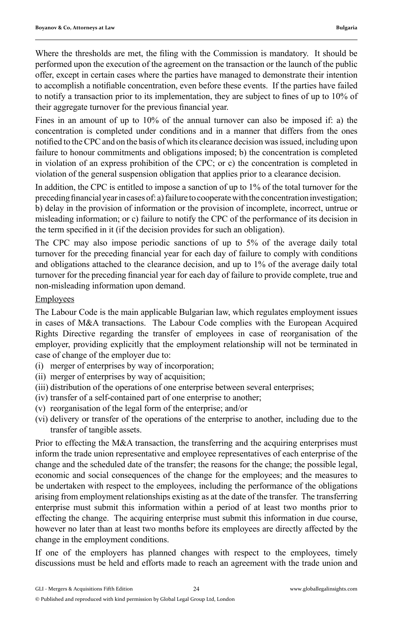Where the thresholds are met, the filing with the Commission is mandatory. It should be performed upon the execution of the agreement on the transaction or the launch of the public offer, except in certain cases where the parties have managed to demonstrate their intention to accomplish a notifiable concentration, even before these events. If the parties have failed to notify a transaction prior to its implementation, they are subject to fines of up to  $10\%$  of their aggregate turnover for the previous financial year.

Fines in an amount of up to 10% of the annual turnover can also be imposed if: a) the concentration is completed under conditions and in a manner that differs from the ones notified to the CPC and on the basis of which its clearance decision was issued, including upon failure to honour commitments and obligations imposed; b) the concentration is completed in violation of an express prohibition of the CPC; or c) the concentration is completed in violation of the general suspension obligation that applies prior to a clearance decision.

In addition, the CPC is entitled to impose a sanction of up to 1% of the total turnover for the preceding financial year in cases of: a) failure to cooperate with the concentration investigation; b) delay in the provision of information or the provision of incomplete, incorrect, untrue or misleading information; or c) failure to notify the CPC of the performance of its decision in the term specified in it (if the decision provides for such an obligation).

The CPC may also impose periodic sanctions of up to 5% of the average daily total turnover for the preceding financial year for each day of failure to comply with conditions and obligations attached to the clearance decision, and up to 1% of the average daily total turnover for the preceding financial year for each day of failure to provide complete, true and non-misleading information upon demand.

### **Employees**

The Labour Code is the main applicable Bulgarian law, which regulates employment issues in cases of M&A transactions. The Labour Code complies with the European Acquired Rights Directive regarding the transfer of employees in case of reorganisation of the employer, providing explicitly that the employment relationship will not be terminated in case of change of the employer due to:

- (i) merger of enterprises by way of incorporation;
- (ii) merger of enterprises by way of acquisition;
- (iii) distribution of the operations of one enterprise between several enterprises;
- (iv) transfer of a self-contained part of one enterprise to another;
- (v) reorganisation of the legal form of the enterprise; and/or
- (vi) delivery or transfer of the operations of the enterprise to another, including due to the transfer of tangible assets.

Prior to effecting the M&A transaction, the transferring and the acquiring enterprises must inform the trade union representative and employee representatives of each enterprise of the change and the scheduled date of the transfer; the reasons for the change; the possible legal, economic and social consequences of the change for the employees; and the measures to be undertaken with respect to the employees, including the performance of the obligations arising from employment relationships existing as at the date of the transfer. The transferring enterprise must submit this information within a period of at least two months prior to effecting the change. The acquiring enterprise must submit this information in due course, however no later than at least two months before its employees are directly affected by the change in the employment conditions.

If one of the employers has planned changes with respect to the employees, timely discussions must be held and efforts made to reach an agreement with the trade union and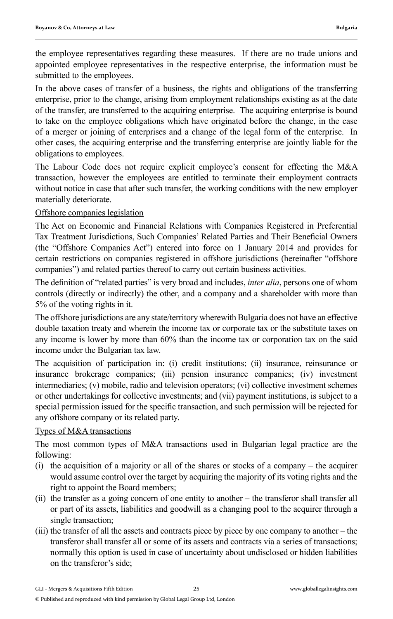the employee representatives regarding these measures. If there are no trade unions and appointed employee representatives in the respective enterprise, the information must be submitted to the employees.

In the above cases of transfer of a business, the rights and obligations of the transferring enterprise, prior to the change, arising from employment relationships existing as at the date of the transfer, are transferred to the acquiring enterprise. The acquiring enterprise is bound to take on the employee obligations which have originated before the change, in the case of a merger or joining of enterprises and a change of the legal form of the enterprise. In other cases, the acquiring enterprise and the transferring enterprise are jointly liable for the obligations to employees.

The Labour Code does not require explicit employee's consent for effecting the M&A transaction, however the employees are entitled to terminate their employment contracts without notice in case that after such transfer, the working conditions with the new employer materially deteriorate.

### Offshore companies legislation

The Act on Economic and Financial Relations with Companies Registered in Preferential Tax Treatment Jurisdictions, Such Companies' Related Parties and Their Beneficial Owners (the "Offshore Companies Act") entered into force on 1 January 2014 and provides for certain restrictions on companies registered in offshore jurisdictions (hereinafter "offshore companies") and related parties thereof to carry out certain business activities.

The definition of "related parties" is very broad and includes, *inter alia*, persons one of whom controls (directly or indirectly) the other, and a company and a shareholder with more than 5% of the voting rights in it.

The offshore jurisdictions are any state/territory wherewith Bulgaria does not have an effective double taxation treaty and wherein the income tax or corporate tax or the substitute taxes on any income is lower by more than 60% than the income tax or corporation tax on the said income under the Bulgarian tax law.

The acquisition of participation in: (i) credit institutions; (ii) insurance, reinsurance or insurance brokerage companies; (iii) pension insurance companies; (iv) investment intermediaries; (v) mobile, radio and television operators; (vi) collective investment schemes or other undertakings for collective investments; and (vii) payment institutions, is subject to a special permission issued for the specific transaction, and such permission will be rejected for any offshore company or its related party.

### Types of M&A transactions

The most common types of M&A transactions used in Bulgarian legal practice are the following:

- (i) the acquisition of a majority or all of the shares or stocks of a company the acquirer would assume control over the target by acquiring the majority of its voting rights and the right to appoint the Board members;
- (ii) the transfer as a going concern of one entity to another the transferor shall transfer all or part of its assets, liabilities and goodwill as a changing pool to the acquirer through a single transaction;
- (iii) the transfer of all the assets and contracts piece by piece by one company to another the transferor shall transfer all or some of its assets and contracts via a series of transactions; normally this option is used in case of uncertainty about undisclosed or hidden liabilities on the transferor's side;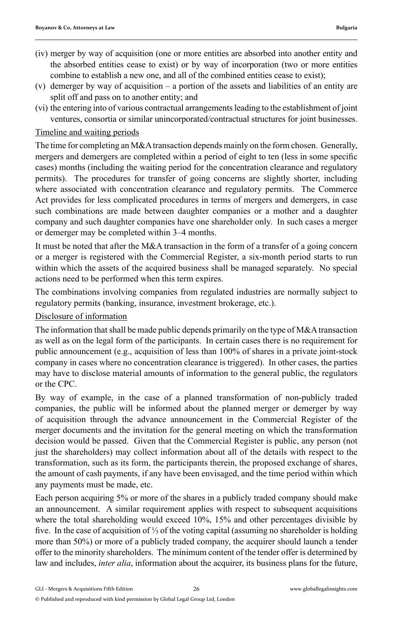- (iv) merger by way of acquisition (one or more entities are absorbed into another entity and the absorbed entities cease to exist) or by way of incorporation (two or more entities combine to establish a new one, and all of the combined entities cease to exist);
- (v) demerger by way of acquisition a portion of the assets and liabilities of an entity are split off and pass on to another entity; and
- (vi) the entering into of various contractual arrangements leading to the establishment of joint ventures, consortia or similar unincorporated/contractual structures for joint businesses.

### Timeline and waiting periods

The time for completing an M&A transaction depends mainly on the form chosen. Generally, mergers and demergers are completed within a period of eight to ten (less in some specific cases) months (including the waiting period for the concentration clearance and regulatory permits). The procedures for transfer of going concerns are slightly shorter, including where associated with concentration clearance and regulatory permits. The Commerce Act provides for less complicated procedures in terms of mergers and demergers, in case such combinations are made between daughter companies or a mother and a daughter company and such daughter companies have one shareholder only. In such cases a merger or demerger may be completed within 3–4 months.

It must be noted that after the M&A transaction in the form of a transfer of a going concern or a merger is registered with the Commercial Register, a six-month period starts to run within which the assets of the acquired business shall be managed separately. No special actions need to be performed when this term expires.

The combinations involving companies from regulated industries are normally subject to regulatory permits (banking, insurance, investment brokerage, etc.).

Disclosure of information

The information that shall be made public depends primarily on the type of M&A transaction as well as on the legal form of the participants. In certain cases there is no requirement for public announcement (e.g., acquisition of less than 100% of shares in a private joint-stock company in cases where no concentration clearance is triggered). In other cases, the parties may have to disclose material amounts of information to the general public, the regulators or the CPC.

By way of example, in the case of a planned transformation of non-publicly traded companies, the public will be informed about the planned merger or demerger by way of acquisition through the advance announcement in the Commercial Register of the merger documents and the invitation for the general meeting on which the transformation decision would be passed. Given that the Commercial Register is public, any person (not just the shareholders) may collect information about all of the details with respect to the transformation, such as its form, the participants therein, the proposed exchange of shares, the amount of cash payments, if any have been envisaged, and the time period within which any payments must be made, etc.

Each person acquiring 5% or more of the shares in a publicly traded company should make an announcement. A similar requirement applies with respect to subsequent acquisitions where the total shareholding would exceed 10%, 15% and other percentages divisible by fi ve. In the case of acquisition of ⅓ of the voting capital (assuming no shareholder is holding more than 50%) or more of a publicly traded company, the acquirer should launch a tender offer to the minority shareholders. The minimum content of the tender offer is determined by law and includes, *inter alia*, information about the acquirer, its business plans for the future,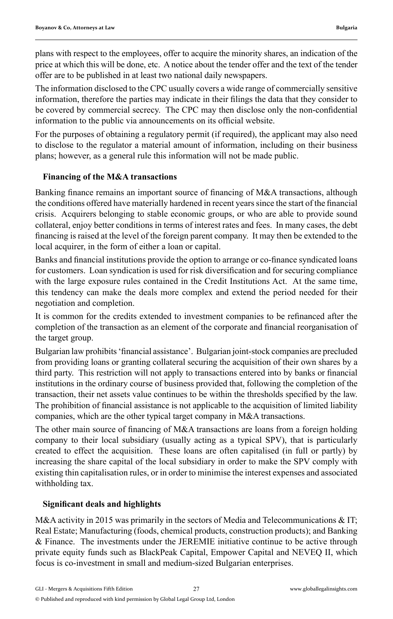plans with respect to the employees, offer to acquire the minority shares, an indication of the price at which this will be done, etc. A notice about the tender offer and the text of the tender offer are to be published in at least two national daily newspapers.

The information disclosed to the CPC usually covers a wide range of commercially sensitive information, therefore the parties may indicate in their filings the data that they consider to be covered by commercial secrecy. The CPC may then disclose only the non-confidential information to the public via announcements on its official website.

For the purposes of obtaining a regulatory permit (if required), the applicant may also need to disclose to the regulator a material amount of information, including on their business plans; however, as a general rule this information will not be made public.

## **Financing of the M&A transactions**

Banking finance remains an important source of financing of M&A transactions, although the conditions offered have materially hardened in recent years since the start of the financial crisis. Acquirers belonging to stable economic groups, or who are able to provide sound collateral, enjoy better conditions in terms of interest rates and fees. In many cases, the debt financing is raised at the level of the foreign parent company. It may then be extended to the local acquirer, in the form of either a loan or capital.

Banks and financial institutions provide the option to arrange or co-finance syndicated loans for customers. Loan syndication is used for risk diversification and for securing compliance with the large exposure rules contained in the Credit Institutions Act. At the same time, this tendency can make the deals more complex and extend the period needed for their negotiation and completion.

It is common for the credits extended to investment companies to be refinanced after the completion of the transaction as an element of the corporate and financial reorganisation of the target group.

Bulgarian law prohibits 'financial assistance'. Bulgarian joint-stock companies are precluded from providing loans or granting collateral securing the acquisition of their own shares by a third party. This restriction will not apply to transactions entered into by banks or financial institutions in the ordinary course of business provided that, following the completion of the transaction, their net assets value continues to be within the thresholds specified by the law. The prohibition of financial assistance is not applicable to the acquisition of limited liability companies, which are the other typical target company in M&A transactions.

The other main source of financing of M&A transactions are loans from a foreign holding company to their local subsidiary (usually acting as a typical SPV), that is particularly created to effect the acquisition. These loans are often capitalised (in full or partly) by increasing the share capital of the local subsidiary in order to make the SPV comply with existing thin capitalisation rules, or in order to minimise the interest expenses and associated withholding tax.

### **Signifi cant deals and highlights**

M&A activity in 2015 was primarily in the sectors of Media and Telecommunications & IT; Real Estate; Manufacturing (foods, chemical products, construction products); and Banking & Finance. The investments under the JEREMIE initiative continue to be active through private equity funds such as BlackPeak Capital, Empower Capital and NEVEQ II, which focus is co-investment in small and medium-sized Bulgarian enterprises.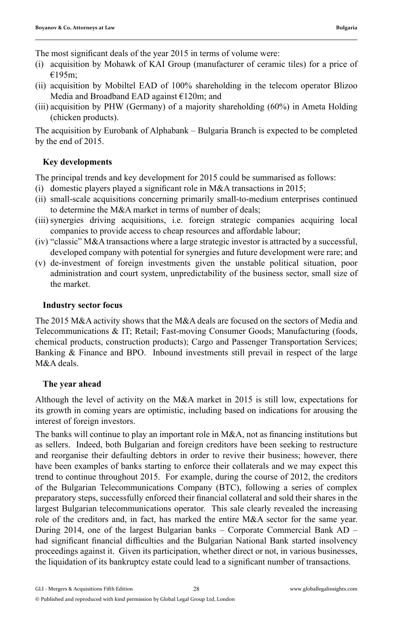The most significant deals of the year 2015 in terms of volume were:

- (i) acquisition by Mohawk of KAI Group (manufacturer of ceramic tiles) for a price of €195m;
- (ii) acquisition by Mobiltel EAD of 100% shareholding in the telecom operator Blizoo Media and Broadband EAD against €120m; and
- (iii) acquisition by PHW (Germany) of a majority shareholding (60%) in Ameta Holding (chicken products).

The acquisition by Eurobank of Alphabank – Bulgaria Branch is expected to be completed by the end of 2015.

## **Key developments**

The principal trends and key development for 2015 could be summarised as follows:

- (i) domestic players played a significant role in M&A transactions in 2015;
- (ii) small-scale acquisitions concerning primarily small-to-medium enterprises continued to determine the M&A market in terms of number of deals;
- (iii) synergies driving acquisitions, i.e. foreign strategic companies acquiring local companies to provide access to cheap resources and affordable labour;
- (iv) "classic" M&A transactions where a large strategic investor is attracted by a successful, developed company with potential for synergies and future development were rare; and
- (v) de-investment of foreign investments given the unstable political situation, poor administration and court system, unpredictability of the business sector, small size of the market.

#### **Industry sector focus**

The 2015 M&A activity shows that the M&A deals are focused on the sectors of Media and Telecommunications & IT; Retail; Fast-moving Consumer Goods; Manufacturing (foods, chemical products, construction products); Cargo and Passenger Transportation Services; Banking & Finance and BPO. Inbound investments still prevail in respect of the large M&A deals.

### **The year ahead**

Although the level of activity on the M&A market in 2015 is still low, expectations for its growth in coming years are optimistic, including based on indications for arousing the interest of foreign investors.

The banks will continue to play an important role in  $M&A$ , not as financing institutions but as sellers. Indeed, both Bulgarian and foreign creditors have been seeking to restructure and reorganise their defaulting debtors in order to revive their business; however, there have been examples of banks starting to enforce their collaterals and we may expect this trend to continue throughout 2015. For example, during the course of 2012, the creditors of the Bulgarian Telecommunications Company (BTC), following a series of complex preparatory steps, successfully enforced their financial collateral and sold their shares in the largest Bulgarian telecommunications operator. This sale clearly revealed the increasing role of the creditors and, in fact, has marked the entire M&A sector for the same year. During 2014, one of the largest Bulgarian banks – Corporate Commercial Bank AD – had significant financial difficulties and the Bulgarian National Bank started insolvency proceedings against it. Given its participation, whether direct or not, in various businesses, the liquidation of its bankruptcy estate could lead to a significant number of transactions.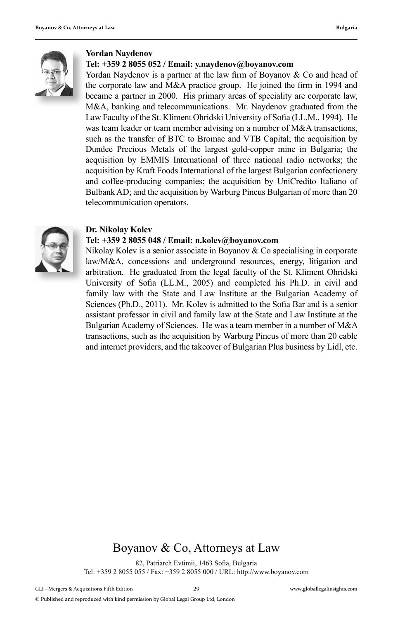

#### **Yordan Naydenov**

#### **Tel: +359 2 8055 052 / Email: y.naydenov@boyanov.com**

Yordan Naydenov is a partner at the law firm of Boyanov  $&$  Co and head of the corporate law and M&A practice group. He joined the firm in 1994 and became a partner in 2000. His primary areas of speciality are corporate law, M&A, banking and telecommunications. Mr. Naydenov graduated from the Law Faculty of the St. Kliment Ohridski University of Sofia (LL.M., 1994). He was team leader or team member advising on a number of M&A transactions, such as the transfer of BTC to Bromac and VTB Capital; the acquisition by Dundee Precious Metals of the largest gold-copper mine in Bulgaria; the acquisition by EMMIS International of three national radio networks; the acquisition by Kraft Foods International of the largest Bulgarian confectionery and coffee-producing companies; the acquisition by UniCredito Italiano of Bulbank AD; and the acquisition by Warburg Pincus Bulgarian of more than 20 telecommunication operators.



#### **Dr. Nikolay Kolev**

#### **Tel: +359 2 8055 048 / Email: n.kolev@boyanov.com**

Nikolay Kolev is a senior associate in Boyanov & Co specialising in corporate law/M&A, concessions and underground resources, energy, litigation and arbitration. He graduated from the legal faculty of the St. Kliment Ohridski University of Sofia (LL.M., 2005) and completed his Ph.D. in civil and family law with the State and Law Institute at the Bulgarian Academy of Sciences (Ph.D., 2011). Mr. Kolev is admitted to the Sofia Bar and is a senior assistant professor in civil and family law at the State and Law Institute at the Bulgarian Academy of Sciences. He was a team member in a number of M&A transactions, such as the acquisition by Warburg Pincus of more than 20 cable and internet providers, and the takeover of Bulgarian Plus business by Lidl, etc.

## Boyanov & Co, Attorneys at Law

82, Patriarch Evtimii, 1463 Sofia, Bulgaria Tel: +359 2 8055 055 / Fax: +359 2 8055 000 / URL: http://www.boyanov.com

© Published and reproduced with kind permission by Global Legal Group Ltd, London